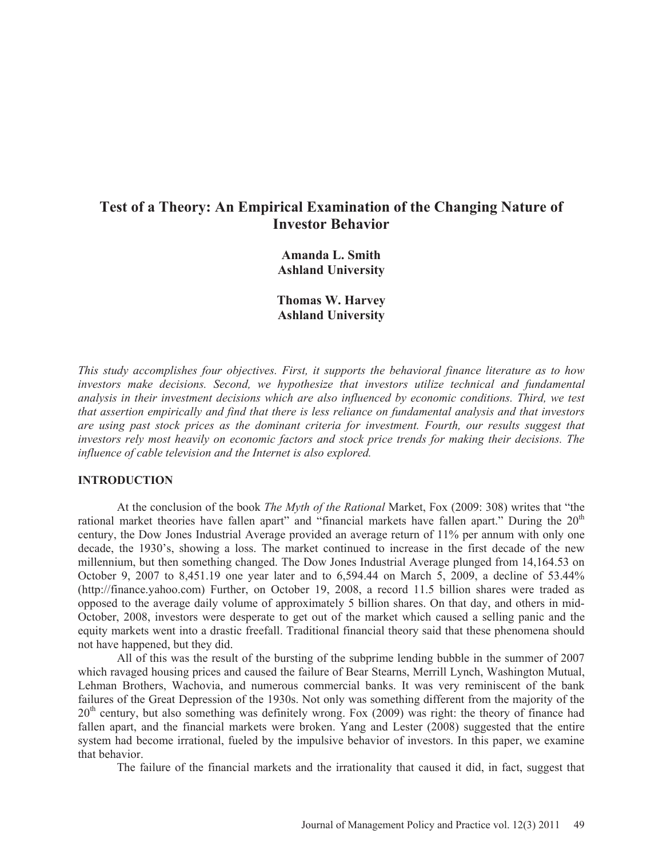# **Test of a Theory: An Empirical Examination of the Changing Nature of Investor Behavior**

**Amanda L. Smith Ashland University** 

**Thomas W. Harvey Ashland University** 

*This study accomplishes four objectives. First, it supports the behavioral finance literature as to how investors make decisions. Second, we hypothesize that investors utilize technical and fundamental analysis in their investment decisions which are also influenced by economic conditions. Third, we test that assertion empirically and find that there is less reliance on fundamental analysis and that investors are using past stock prices as the dominant criteria for investment. Fourth, our results suggest that investors rely most heavily on economic factors and stock price trends for making their decisions. The influence of cable television and the Internet is also explored.* 

#### **INTRODUCTION**

At the conclusion of the book *The Myth of the Rational* Market, Fox (2009: 308) writes that "the rational market theories have fallen apart" and "financial markets have fallen apart." During the 20<sup>th</sup> century, the Dow Jones Industrial Average provided an average return of 11% per annum with only one decade, the 1930's, showing a loss. The market continued to increase in the first decade of the new millennium, but then something changed. The Dow Jones Industrial Average plunged from 14,164.53 on October 9, 2007 to 8,451.19 one year later and to 6,594.44 on March 5, 2009, a decline of 53.44% (http://finance.yahoo.com) Further, on October 19, 2008, a record 11.5 billion shares were traded as opposed to the average daily volume of approximately 5 billion shares. On that day, and others in mid-October, 2008, investors were desperate to get out of the market which caused a selling panic and the equity markets went into a drastic freefall. Traditional financial theory said that these phenomena should not have happened, but they did.

All of this was the result of the bursting of the subprime lending bubble in the summer of 2007 which ravaged housing prices and caused the failure of Bear Stearns, Merrill Lynch, Washington Mutual, Lehman Brothers, Wachovia, and numerous commercial banks. It was very reminiscent of the bank failures of the Great Depression of the 1930s. Not only was something different from the majority of the 20<sup>th</sup> century, but also something was definitely wrong. Fox (2009) was right: the theory of finance had fallen apart, and the financial markets were broken. Yang and Lester (2008) suggested that the entire system had become irrational, fueled by the impulsive behavior of investors. In this paper, we examine that behavior.

The failure of the financial markets and the irrationality that caused it did, in fact, suggest that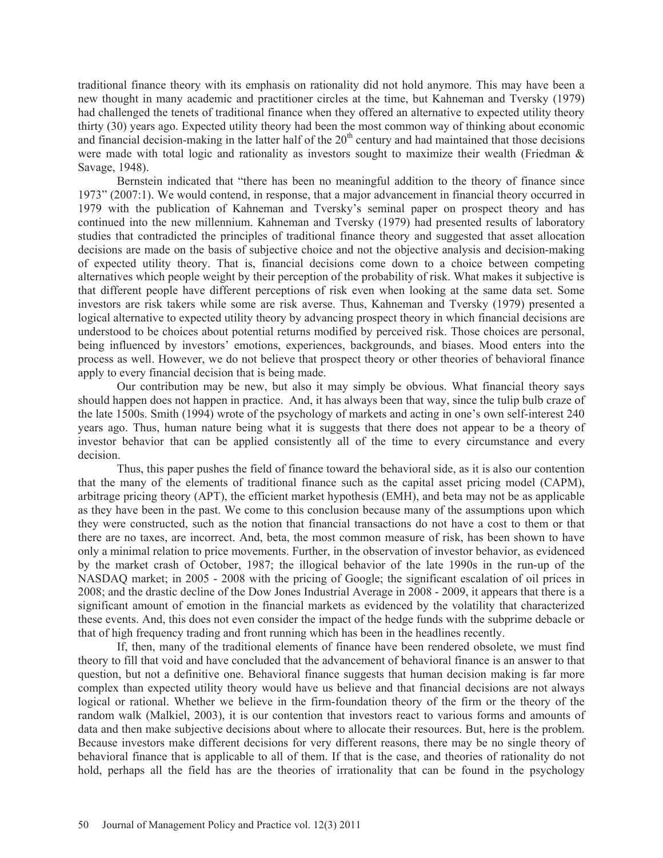traditional finance theory with its emphasis on rationality did not hold anymore. This may have been a new thought in many academic and practitioner circles at the time, but Kahneman and Tversky (1979) had challenged the tenets of traditional finance when they offered an alternative to expected utility theory thirty (30) years ago. Expected utility theory had been the most common way of thinking about economic and financial decision-making in the latter half of the  $20<sup>th</sup>$  century and had maintained that those decisions were made with total logic and rationality as investors sought to maximize their wealth (Friedman & Savage, 1948).

Bernstein indicated that "there has been no meaningful addition to the theory of finance since 1973" (2007:1). We would contend, in response, that a major advancement in financial theory occurred in 1979 with the publication of Kahneman and Tversky's seminal paper on prospect theory and has continued into the new millennium. Kahneman and Tversky (1979) had presented results of laboratory studies that contradicted the principles of traditional finance theory and suggested that asset allocation decisions are made on the basis of subjective choice and not the objective analysis and decision-making of expected utility theory. That is, financial decisions come down to a choice between competing alternatives which people weight by their perception of the probability of risk. What makes it subjective is that different people have different perceptions of risk even when looking at the same data set. Some investors are risk takers while some are risk averse. Thus, Kahneman and Tversky (1979) presented a logical alternative to expected utility theory by advancing prospect theory in which financial decisions are understood to be choices about potential returns modified by perceived risk. Those choices are personal, being influenced by investors' emotions, experiences, backgrounds, and biases. Mood enters into the process as well. However, we do not believe that prospect theory or other theories of behavioral finance apply to every financial decision that is being made.

Our contribution may be new, but also it may simply be obvious. What financial theory says should happen does not happen in practice. And, it has always been that way, since the tulip bulb craze of the late 1500s. Smith (1994) wrote of the psychology of markets and acting in one's own self-interest 240 years ago. Thus, human nature being what it is suggests that there does not appear to be a theory of investor behavior that can be applied consistently all of the time to every circumstance and every decision.

 Thus, this paper pushes the field of finance toward the behavioral side, as it is also our contention that the many of the elements of traditional finance such as the capital asset pricing model (CAPM), arbitrage pricing theory (APT), the efficient market hypothesis (EMH), and beta may not be as applicable as they have been in the past. We come to this conclusion because many of the assumptions upon which they were constructed, such as the notion that financial transactions do not have a cost to them or that there are no taxes, are incorrect. And, beta, the most common measure of risk, has been shown to have only a minimal relation to price movements. Further, in the observation of investor behavior, as evidenced by the market crash of October, 1987; the illogical behavior of the late 1990s in the run-up of the NASDAQ market; in 2005 - 2008 with the pricing of Google; the significant escalation of oil prices in 2008; and the drastic decline of the Dow Jones Industrial Average in 2008 - 2009, it appears that there is a significant amount of emotion in the financial markets as evidenced by the volatility that characterized these events. And, this does not even consider the impact of the hedge funds with the subprime debacle or that of high frequency trading and front running which has been in the headlines recently.

 If, then, many of the traditional elements of finance have been rendered obsolete, we must find theory to fill that void and have concluded that the advancement of behavioral finance is an answer to that question, but not a definitive one. Behavioral finance suggests that human decision making is far more complex than expected utility theory would have us believe and that financial decisions are not always logical or rational. Whether we believe in the firm-foundation theory of the firm or the theory of the random walk (Malkiel, 2003), it is our contention that investors react to various forms and amounts of data and then make subjective decisions about where to allocate their resources. But, here is the problem. Because investors make different decisions for very different reasons, there may be no single theory of behavioral finance that is applicable to all of them. If that is the case, and theories of rationality do not hold, perhaps all the field has are the theories of irrationality that can be found in the psychology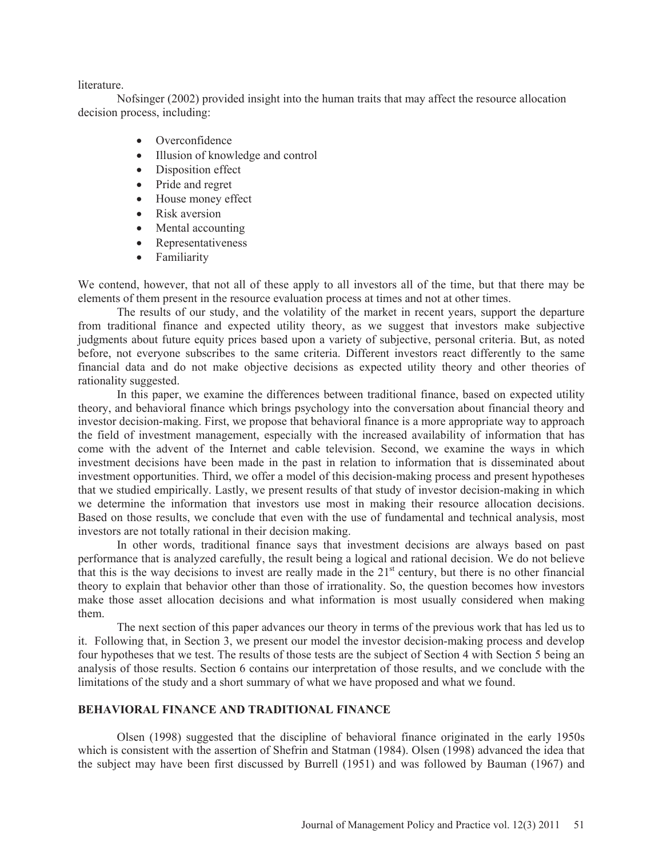literature.

 Nofsinger (2002) provided insight into the human traits that may affect the resource allocation decision process, including:

- $\bullet$  Overconfidence
- Illusion of knowledge and control
- Disposition effect
- Pride and regret
- House money effect
- $\bullet$  Risk aversion
- $\bullet$  Mental accounting
- Representativeness
- Familiarity

We contend, however, that not all of these apply to all investors all of the time, but that there may be elements of them present in the resource evaluation process at times and not at other times.

 The results of our study, and the volatility of the market in recent years, support the departure from traditional finance and expected utility theory, as we suggest that investors make subjective judgments about future equity prices based upon a variety of subjective, personal criteria. But, as noted before, not everyone subscribes to the same criteria. Different investors react differently to the same financial data and do not make objective decisions as expected utility theory and other theories of rationality suggested.

 In this paper, we examine the differences between traditional finance, based on expected utility theory, and behavioral finance which brings psychology into the conversation about financial theory and investor decision-making. First, we propose that behavioral finance is a more appropriate way to approach the field of investment management, especially with the increased availability of information that has come with the advent of the Internet and cable television. Second, we examine the ways in which investment decisions have been made in the past in relation to information that is disseminated about investment opportunities. Third, we offer a model of this decision-making process and present hypotheses that we studied empirically. Lastly, we present results of that study of investor decision-making in which we determine the information that investors use most in making their resource allocation decisions. Based on those results, we conclude that even with the use of fundamental and technical analysis, most investors are not totally rational in their decision making.

In other words, traditional finance says that investment decisions are always based on past performance that is analyzed carefully, the result being a logical and rational decision. We do not believe that this is the way decisions to invest are really made in the  $21<sup>st</sup>$  century, but there is no other financial theory to explain that behavior other than those of irrationality. So, the question becomes how investors make those asset allocation decisions and what information is most usually considered when making them.

 The next section of this paper advances our theory in terms of the previous work that has led us to it. Following that, in Section 3, we present our model the investor decision-making process and develop four hypotheses that we test. The results of those tests are the subject of Section 4 with Section 5 being an analysis of those results. Section 6 contains our interpretation of those results, and we conclude with the limitations of the study and a short summary of what we have proposed and what we found.

#### **BEHAVIORAL FINANCE AND TRADITIONAL FINANCE**

 Olsen (1998) suggested that the discipline of behavioral finance originated in the early 1950s which is consistent with the assertion of Shefrin and Statman (1984). Olsen (1998) advanced the idea that the subject may have been first discussed by Burrell (1951) and was followed by Bauman (1967) and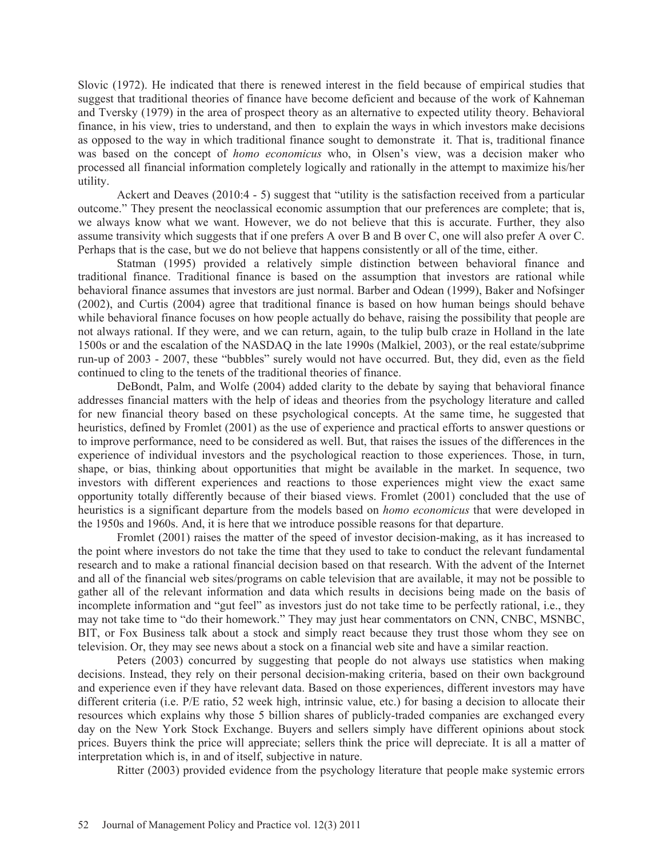Slovic (1972). He indicated that there is renewed interest in the field because of empirical studies that suggest that traditional theories of finance have become deficient and because of the work of Kahneman and Tversky (1979) in the area of prospect theory as an alternative to expected utility theory. Behavioral finance, in his view, tries to understand, and then to explain the ways in which investors make decisions as opposed to the way in which traditional finance sought to demonstrate it. That is, traditional finance was based on the concept of *homo economicus* who, in Olsen's view, was a decision maker who processed all financial information completely logically and rationally in the attempt to maximize his/her utility.

 Ackert and Deaves (2010:4 - 5) suggest that "utility is the satisfaction received from a particular outcome." They present the neoclassical economic assumption that our preferences are complete; that is, we always know what we want. However, we do not believe that this is accurate. Further, they also assume transivity which suggests that if one prefers A over B and B over C, one will also prefer A over C. Perhaps that is the case, but we do not believe that happens consistently or all of the time, either.

 Statman (1995) provided a relatively simple distinction between behavioral finance and traditional finance. Traditional finance is based on the assumption that investors are rational while behavioral finance assumes that investors are just normal. Barber and Odean (1999), Baker and Nofsinger (2002), and Curtis (2004) agree that traditional finance is based on how human beings should behave while behavioral finance focuses on how people actually do behave, raising the possibility that people are not always rational. If they were, and we can return, again, to the tulip bulb craze in Holland in the late 1500s or and the escalation of the NASDAQ in the late 1990s (Malkiel, 2003), or the real estate/subprime run-up of 2003 - 2007, these "bubbles" surely would not have occurred. But, they did, even as the field continued to cling to the tenets of the traditional theories of finance.

 DeBondt, Palm, and Wolfe (2004) added clarity to the debate by saying that behavioral finance addresses financial matters with the help of ideas and theories from the psychology literature and called for new financial theory based on these psychological concepts. At the same time, he suggested that heuristics, defined by Fromlet (2001) as the use of experience and practical efforts to answer questions or to improve performance, need to be considered as well. But, that raises the issues of the differences in the experience of individual investors and the psychological reaction to those experiences. Those, in turn, shape, or bias, thinking about opportunities that might be available in the market. In sequence, two investors with different experiences and reactions to those experiences might view the exact same opportunity totally differently because of their biased views. Fromlet (2001) concluded that the use of heuristics is a significant departure from the models based on *homo economicus* that were developed in the 1950s and 1960s. And, it is here that we introduce possible reasons for that departure.

 Fromlet (2001) raises the matter of the speed of investor decision-making, as it has increased to the point where investors do not take the time that they used to take to conduct the relevant fundamental research and to make a rational financial decision based on that research. With the advent of the Internet and all of the financial web sites/programs on cable television that are available, it may not be possible to gather all of the relevant information and data which results in decisions being made on the basis of incomplete information and "gut feel" as investors just do not take time to be perfectly rational, i.e., they may not take time to "do their homework." They may just hear commentators on CNN, CNBC, MSNBC, BIT, or Fox Business talk about a stock and simply react because they trust those whom they see on television. Or, they may see news about a stock on a financial web site and have a similar reaction.

 Peters (2003) concurred by suggesting that people do not always use statistics when making decisions. Instead, they rely on their personal decision-making criteria, based on their own background and experience even if they have relevant data. Based on those experiences, different investors may have different criteria (i.e. P/E ratio, 52 week high, intrinsic value, etc.) for basing a decision to allocate their resources which explains why those 5 billion shares of publicly-traded companies are exchanged every day on the New York Stock Exchange. Buyers and sellers simply have different opinions about stock prices. Buyers think the price will appreciate; sellers think the price will depreciate. It is all a matter of interpretation which is, in and of itself, subjective in nature.

Ritter (2003) provided evidence from the psychology literature that people make systemic errors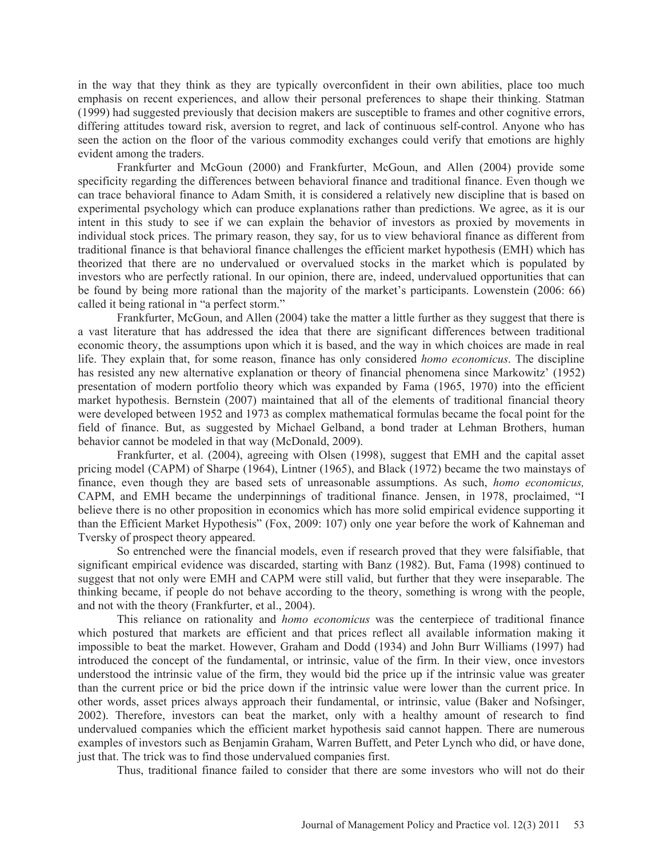in the way that they think as they are typically overconfident in their own abilities, place too much emphasis on recent experiences, and allow their personal preferences to shape their thinking. Statman (1999) had suggested previously that decision makers are susceptible to frames and other cognitive errors, differing attitudes toward risk, aversion to regret, and lack of continuous self-control. Anyone who has seen the action on the floor of the various commodity exchanges could verify that emotions are highly evident among the traders.

 Frankfurter and McGoun (2000) and Frankfurter, McGoun, and Allen (2004) provide some specificity regarding the differences between behavioral finance and traditional finance. Even though we can trace behavioral finance to Adam Smith, it is considered a relatively new discipline that is based on experimental psychology which can produce explanations rather than predictions. We agree, as it is our intent in this study to see if we can explain the behavior of investors as proxied by movements in individual stock prices. The primary reason, they say, for us to view behavioral finance as different from traditional finance is that behavioral finance challenges the efficient market hypothesis (EMH) which has theorized that there are no undervalued or overvalued stocks in the market which is populated by investors who are perfectly rational. In our opinion, there are, indeed, undervalued opportunities that can be found by being more rational than the majority of the market's participants. Lowenstein (2006: 66) called it being rational in "a perfect storm."

 Frankfurter, McGoun, and Allen (2004) take the matter a little further as they suggest that there is a vast literature that has addressed the idea that there are significant differences between traditional economic theory, the assumptions upon which it is based, and the way in which choices are made in real life. They explain that, for some reason, finance has only considered *homo economicus*. The discipline has resisted any new alternative explanation or theory of financial phenomena since Markowitz' (1952) presentation of modern portfolio theory which was expanded by Fama (1965, 1970) into the efficient market hypothesis. Bernstein (2007) maintained that all of the elements of traditional financial theory were developed between 1952 and 1973 as complex mathematical formulas became the focal point for the field of finance. But, as suggested by Michael Gelband, a bond trader at Lehman Brothers, human behavior cannot be modeled in that way (McDonald, 2009).

Frankfurter, et al. (2004), agreeing with Olsen (1998), suggest that EMH and the capital asset pricing model (CAPM) of Sharpe (1964), Lintner (1965), and Black (1972) became the two mainstays of finance, even though they are based sets of unreasonable assumptions. As such, *homo economicus,* CAPM, and EMH became the underpinnings of traditional finance. Jensen, in 1978, proclaimed, "I believe there is no other proposition in economics which has more solid empirical evidence supporting it than the Efficient Market Hypothesis" (Fox, 2009: 107) only one year before the work of Kahneman and Tversky of prospect theory appeared.

So entrenched were the financial models, even if research proved that they were falsifiable, that significant empirical evidence was discarded, starting with Banz (1982). But, Fama (1998) continued to suggest that not only were EMH and CAPM were still valid, but further that they were inseparable. The thinking became, if people do not behave according to the theory, something is wrong with the people, and not with the theory (Frankfurter, et al., 2004).

 This reliance on rationality and *homo economicus* was the centerpiece of traditional finance which postured that markets are efficient and that prices reflect all available information making it impossible to beat the market. However, Graham and Dodd (1934) and John Burr Williams (1997) had introduced the concept of the fundamental, or intrinsic, value of the firm. In their view, once investors understood the intrinsic value of the firm, they would bid the price up if the intrinsic value was greater than the current price or bid the price down if the intrinsic value were lower than the current price. In other words, asset prices always approach their fundamental, or intrinsic, value (Baker and Nofsinger, 2002). Therefore, investors can beat the market, only with a healthy amount of research to find undervalued companies which the efficient market hypothesis said cannot happen. There are numerous examples of investors such as Benjamin Graham, Warren Buffett, and Peter Lynch who did, or have done, just that. The trick was to find those undervalued companies first.

Thus, traditional finance failed to consider that there are some investors who will not do their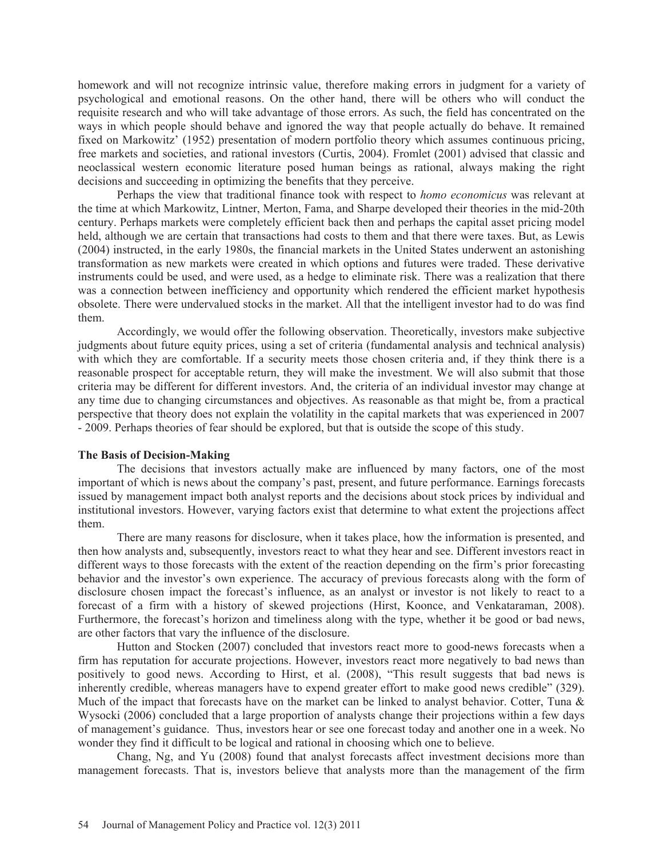homework and will not recognize intrinsic value, therefore making errors in judgment for a variety of psychological and emotional reasons. On the other hand, there will be others who will conduct the requisite research and who will take advantage of those errors. As such, the field has concentrated on the ways in which people should behave and ignored the way that people actually do behave. It remained fixed on Markowitz' (1952) presentation of modern portfolio theory which assumes continuous pricing, free markets and societies, and rational investors (Curtis, 2004). Fromlet (2001) advised that classic and neoclassical western economic literature posed human beings as rational, always making the right decisions and succeeding in optimizing the benefits that they perceive.

 Perhaps the view that traditional finance took with respect to *homo economicus* was relevant at the time at which Markowitz, Lintner, Merton, Fama, and Sharpe developed their theories in the mid-20th century. Perhaps markets were completely efficient back then and perhaps the capital asset pricing model held, although we are certain that transactions had costs to them and that there were taxes. But, as Lewis (2004) instructed, in the early 1980s, the financial markets in the United States underwent an astonishing transformation as new markets were created in which options and futures were traded. These derivative instruments could be used, and were used, as a hedge to eliminate risk. There was a realization that there was a connection between inefficiency and opportunity which rendered the efficient market hypothesis obsolete. There were undervalued stocks in the market. All that the intelligent investor had to do was find them.

 Accordingly, we would offer the following observation. Theoretically, investors make subjective judgments about future equity prices, using a set of criteria (fundamental analysis and technical analysis) with which they are comfortable. If a security meets those chosen criteria and, if they think there is a reasonable prospect for acceptable return, they will make the investment. We will also submit that those criteria may be different for different investors. And, the criteria of an individual investor may change at any time due to changing circumstances and objectives. As reasonable as that might be, from a practical perspective that theory does not explain the volatility in the capital markets that was experienced in 2007 - 2009. Perhaps theories of fear should be explored, but that is outside the scope of this study.

#### **The Basis of Decision-Making**

The decisions that investors actually make are influenced by many factors, one of the most important of which is news about the company's past, present, and future performance. Earnings forecasts issued by management impact both analyst reports and the decisions about stock prices by individual and institutional investors. However, varying factors exist that determine to what extent the projections affect them.

There are many reasons for disclosure, when it takes place, how the information is presented, and then how analysts and, subsequently, investors react to what they hear and see. Different investors react in different ways to those forecasts with the extent of the reaction depending on the firm's prior forecasting behavior and the investor's own experience. The accuracy of previous forecasts along with the form of disclosure chosen impact the forecast's influence, as an analyst or investor is not likely to react to a forecast of a firm with a history of skewed projections (Hirst, Koonce, and Venkataraman, 2008). Furthermore, the forecast's horizon and timeliness along with the type, whether it be good or bad news, are other factors that vary the influence of the disclosure.

Hutton and Stocken (2007) concluded that investors react more to good-news forecasts when a firm has reputation for accurate projections. However, investors react more negatively to bad news than positively to good news. According to Hirst, et al. (2008), "This result suggests that bad news is inherently credible, whereas managers have to expend greater effort to make good news credible" (329). Much of the impact that forecasts have on the market can be linked to analyst behavior. Cotter, Tuna  $\&$ Wysocki (2006) concluded that a large proportion of analysts change their projections within a few days of management's guidance. Thus, investors hear or see one forecast today and another one in a week. No wonder they find it difficult to be logical and rational in choosing which one to believe.

Chang, Ng, and Yu (2008) found that analyst forecasts affect investment decisions more than management forecasts. That is, investors believe that analysts more than the management of the firm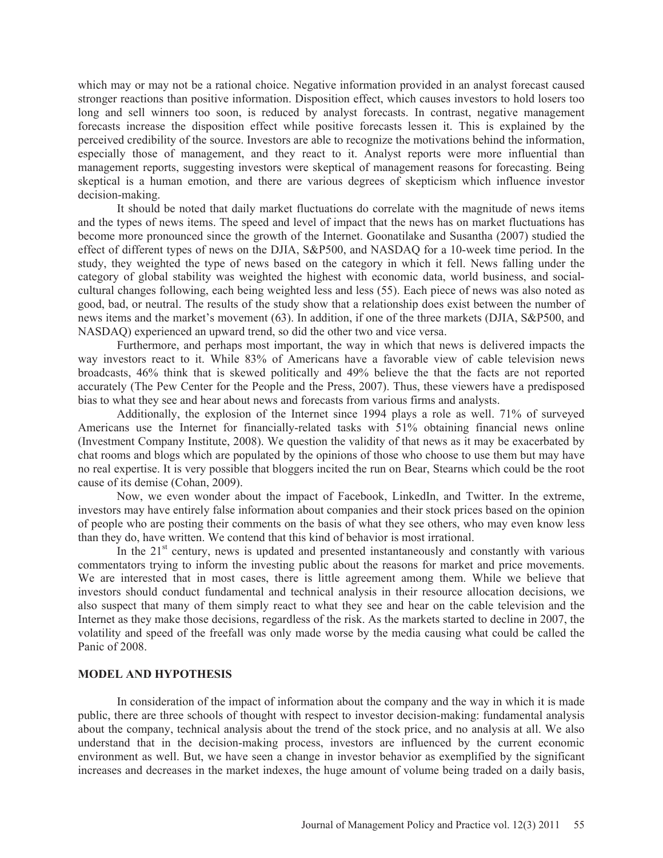which may or may not be a rational choice. Negative information provided in an analyst forecast caused stronger reactions than positive information. Disposition effect, which causes investors to hold losers too long and sell winners too soon, is reduced by analyst forecasts. In contrast, negative management forecasts increase the disposition effect while positive forecasts lessen it. This is explained by the perceived credibility of the source. Investors are able to recognize the motivations behind the information, especially those of management, and they react to it. Analyst reports were more influential than management reports, suggesting investors were skeptical of management reasons for forecasting. Being skeptical is a human emotion, and there are various degrees of skepticism which influence investor decision-making.

It should be noted that daily market fluctuations do correlate with the magnitude of news items and the types of news items. The speed and level of impact that the news has on market fluctuations has become more pronounced since the growth of the Internet. Goonatilake and Susantha (2007) studied the effect of different types of news on the DJIA, S&P500, and NASDAQ for a 10-week time period. In the study, they weighted the type of news based on the category in which it fell. News falling under the category of global stability was weighted the highest with economic data, world business, and socialcultural changes following, each being weighted less and less (55). Each piece of news was also noted as good, bad, or neutral. The results of the study show that a relationship does exist between the number of news items and the market's movement (63). In addition, if one of the three markets (DJIA, S&P500, and NASDAQ) experienced an upward trend, so did the other two and vice versa.

Furthermore, and perhaps most important, the way in which that news is delivered impacts the way investors react to it. While 83% of Americans have a favorable view of cable television news broadcasts, 46% think that is skewed politically and 49% believe the that the facts are not reported accurately (The Pew Center for the People and the Press, 2007). Thus, these viewers have a predisposed bias to what they see and hear about news and forecasts from various firms and analysts.

Additionally, the explosion of the Internet since 1994 plays a role as well. 71% of surveyed Americans use the Internet for financially-related tasks with 51% obtaining financial news online (Investment Company Institute, 2008). We question the validity of that news as it may be exacerbated by chat rooms and blogs which are populated by the opinions of those who choose to use them but may have no real expertise. It is very possible that bloggers incited the run on Bear, Stearns which could be the root cause of its demise (Cohan, 2009).

Now, we even wonder about the impact of Facebook, LinkedIn, and Twitter. In the extreme, investors may have entirely false information about companies and their stock prices based on the opinion of people who are posting their comments on the basis of what they see others, who may even know less than they do, have written. We contend that this kind of behavior is most irrational.

In the  $21<sup>st</sup>$  century, news is updated and presented instantaneously and constantly with various commentators trying to inform the investing public about the reasons for market and price movements. We are interested that in most cases, there is little agreement among them. While we believe that investors should conduct fundamental and technical analysis in their resource allocation decisions, we also suspect that many of them simply react to what they see and hear on the cable television and the Internet as they make those decisions, regardless of the risk. As the markets started to decline in 2007, the volatility and speed of the freefall was only made worse by the media causing what could be called the Panic of 2008.

#### **MODEL AND HYPOTHESIS**

In consideration of the impact of information about the company and the way in which it is made public, there are three schools of thought with respect to investor decision-making: fundamental analysis about the company, technical analysis about the trend of the stock price, and no analysis at all. We also understand that in the decision-making process, investors are influenced by the current economic environment as well. But, we have seen a change in investor behavior as exemplified by the significant increases and decreases in the market indexes, the huge amount of volume being traded on a daily basis,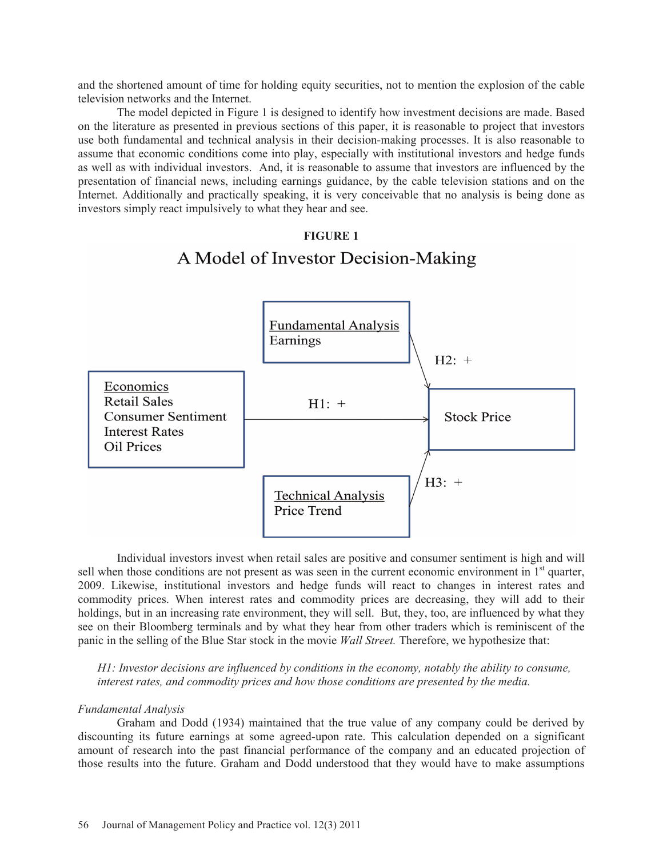and the shortened amount of time for holding equity securities, not to mention the explosion of the cable television networks and the Internet.

 The model depicted in Figure 1 is designed to identify how investment decisions are made. Based on the literature as presented in previous sections of this paper, it is reasonable to project that investors use both fundamental and technical analysis in their decision-making processes. It is also reasonable to assume that economic conditions come into play, especially with institutional investors and hedge funds as well as with individual investors. And, it is reasonable to assume that investors are influenced by the presentation of financial news, including earnings guidance, by the cable television stations and on the Internet. Additionally and practically speaking, it is very conceivable that no analysis is being done as investors simply react impulsively to what they hear and see.

# **FIGURE 1** A Model of Investor Decision-Making



 Individual investors invest when retail sales are positive and consumer sentiment is high and will sell when those conditions are not present as was seen in the current economic environment in 1<sup>st</sup> quarter, 2009. Likewise, institutional investors and hedge funds will react to changes in interest rates and commodity prices. When interest rates and commodity prices are decreasing, they will add to their holdings, but in an increasing rate environment, they will sell. But, they, too, are influenced by what they see on their Bloomberg terminals and by what they hear from other traders which is reminiscent of the panic in the selling of the Blue Star stock in the movie *Wall Street.* Therefore, we hypothesize that:

*H1: Investor decisions are influenced by conditions in the economy, notably the ability to consume, interest rates, and commodity prices and how those conditions are presented by the media.* 

#### *Fundamental Analysis*

Graham and Dodd (1934) maintained that the true value of any company could be derived by discounting its future earnings at some agreed-upon rate. This calculation depended on a significant amount of research into the past financial performance of the company and an educated projection of those results into the future. Graham and Dodd understood that they would have to make assumptions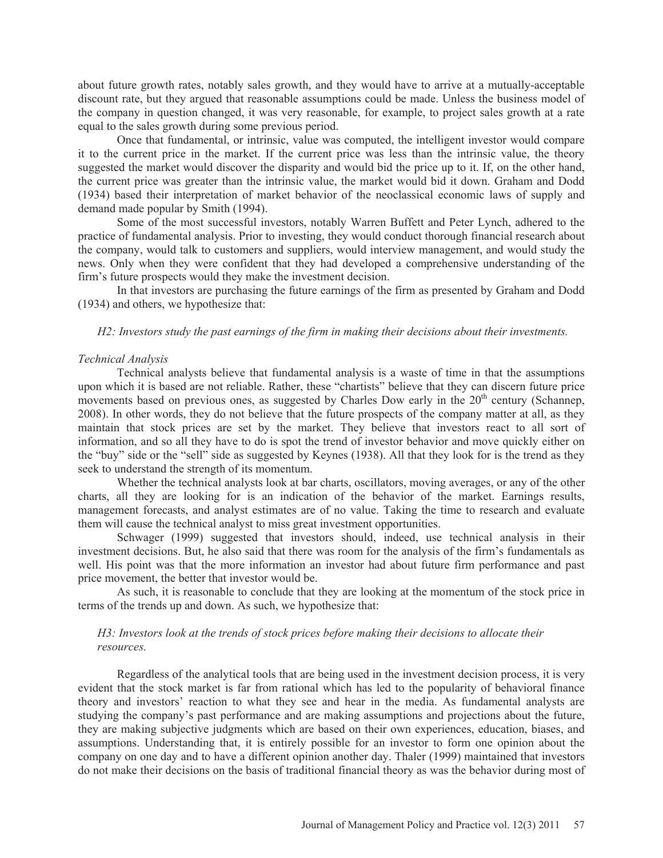about future growth rates, notably sales growth, and they would have to arrive at a mutually-acceptable discount rate, but they argued that reasonable assumptions could be made. Unless the business model of the company in question changed, it was very reasonable, for example, to project sales growth at a rate equal to the sales growth during some previous period.

Once that fundamental, or intrinsic, value was computed, the intelligent investor would compare it to the current price in the market. If the current price was less than the intrinsic value, the theory suggested the market would discover the disparity and would bid the price up to it. If, on the other hand, the current price was greater than the intrinsic value, the market would bid it down. Graham and Dodd (1934) based their interpretation of market behavior of the neoclassical economic laws of supply and demand made popular by Smith (1994).

Some of the most successful investors, notably Warren Buffett and Peter Lynch, adhered to the practice of fundamental analysis. Prior to investing, they would conduct thorough financial research about the company, would talk to customers and suppliers, would interview management, and would study the news. Only when they were confident that they had developed a comprehensive understanding of the firm's future prospects would they make the investment decision.

In that investors are purchasing the future earnings of the firm as presented by Graham and Dodd (1934) and others, we hypothesize that:

#### *H2: Investors study the past earnings of the firm in making their decisions about their investments.*

#### *Technical Analysis*

 Technical analysts believe that fundamental analysis is a waste of time in that the assumptions upon which it is based are not reliable. Rather, these "chartists" believe that they can discern future price movements based on previous ones, as suggested by Charles Dow early in the  $20<sup>th</sup>$  century (Schannep, 2008). In other words, they do not believe that the future prospects of the company matter at all, as they maintain that stock prices are set by the market. They believe that investors react to all sort of information, and so all they have to do is spot the trend of investor behavior and move quickly either on the "buy" side or the "sell" side as suggested by Keynes (1938). All that they look for is the trend as they seek to understand the strength of its momentum.

 Whether the technical analysts look at bar charts, oscillators, moving averages, or any of the other charts, all they are looking for is an indication of the behavior of the market. Earnings results, management forecasts, and analyst estimates are of no value. Taking the time to research and evaluate them will cause the technical analyst to miss great investment opportunities.

 Schwager (1999) suggested that investors should, indeed, use technical analysis in their investment decisions. But, he also said that there was room for the analysis of the firm's fundamentals as well. His point was that the more information an investor had about future firm performance and past price movement, the better that investor would be.

 As such, it is reasonable to conclude that they are looking at the momentum of the stock price in terms of the trends up and down. As such, we hypothesize that:

#### *H3: Investors look at the trends of stock prices before making their decisions to allocate their resources.*

 Regardless of the analytical tools that are being used in the investment decision process, it is very evident that the stock market is far from rational which has led to the popularity of behavioral finance theory and investors' reaction to what they see and hear in the media. As fundamental analysts are studying the company's past performance and are making assumptions and projections about the future, they are making subjective judgments which are based on their own experiences, education, biases, and assumptions. Understanding that, it is entirely possible for an investor to form one opinion about the company on one day and to have a different opinion another day. Thaler (1999) maintained that investors do not make their decisions on the basis of traditional financial theory as was the behavior during most of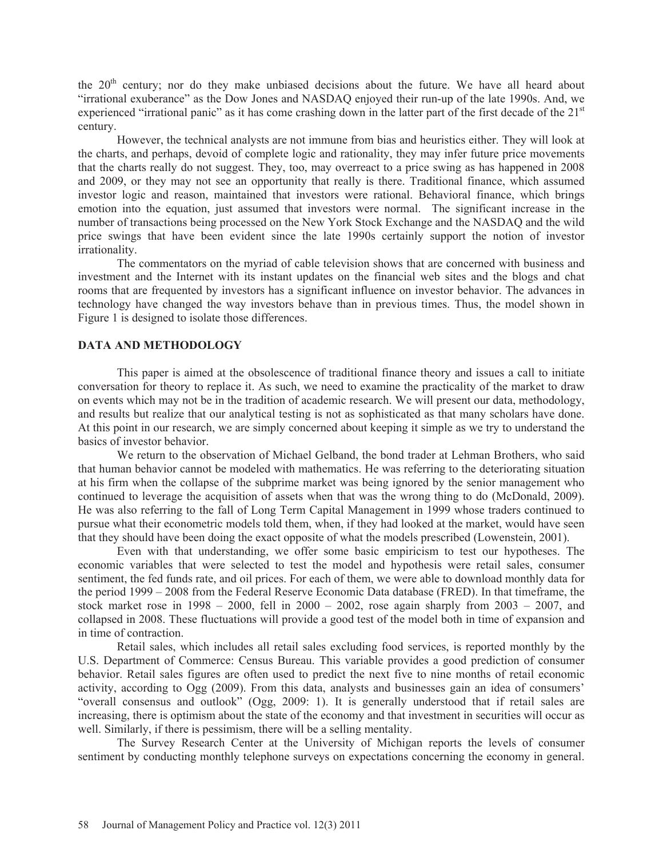the  $20<sup>th</sup>$  century; nor do they make unbiased decisions about the future. We have all heard about "irrational exuberance" as the Dow Jones and NASDAQ enjoyed their run-up of the late 1990s. And, we experienced "irrational panic" as it has come crashing down in the latter part of the first decade of the  $21<sup>st</sup>$ century.

 However, the technical analysts are not immune from bias and heuristics either. They will look at the charts, and perhaps, devoid of complete logic and rationality, they may infer future price movements that the charts really do not suggest. They, too, may overreact to a price swing as has happened in 2008 and 2009, or they may not see an opportunity that really is there. Traditional finance, which assumed investor logic and reason, maintained that investors were rational. Behavioral finance, which brings emotion into the equation, just assumed that investors were normal. The significant increase in the number of transactions being processed on the New York Stock Exchange and the NASDAQ and the wild price swings that have been evident since the late 1990s certainly support the notion of investor irrationality.

 The commentators on the myriad of cable television shows that are concerned with business and investment and the Internet with its instant updates on the financial web sites and the blogs and chat rooms that are frequented by investors has a significant influence on investor behavior. The advances in technology have changed the way investors behave than in previous times. Thus, the model shown in Figure 1 is designed to isolate those differences.

#### **DATA AND METHODOLOGY**

This paper is aimed at the obsolescence of traditional finance theory and issues a call to initiate conversation for theory to replace it. As such, we need to examine the practicality of the market to draw on events which may not be in the tradition of academic research. We will present our data, methodology, and results but realize that our analytical testing is not as sophisticated as that many scholars have done. At this point in our research, we are simply concerned about keeping it simple as we try to understand the basics of investor behavior.

We return to the observation of Michael Gelband, the bond trader at Lehman Brothers, who said that human behavior cannot be modeled with mathematics. He was referring to the deteriorating situation at his firm when the collapse of the subprime market was being ignored by the senior management who continued to leverage the acquisition of assets when that was the wrong thing to do (McDonald, 2009). He was also referring to the fall of Long Term Capital Management in 1999 whose traders continued to pursue what their econometric models told them, when, if they had looked at the market, would have seen that they should have been doing the exact opposite of what the models prescribed (Lowenstein, 2001).

Even with that understanding, we offer some basic empiricism to test our hypotheses. The economic variables that were selected to test the model and hypothesis were retail sales, consumer sentiment, the fed funds rate, and oil prices. For each of them, we were able to download monthly data for the period 1999 – 2008 from the Federal Reserve Economic Data database (FRED). In that timeframe, the stock market rose in  $1998 - 2000$ , fell in  $2000 - 2002$ , rose again sharply from  $2003 - 2007$ , and collapsed in 2008. These fluctuations will provide a good test of the model both in time of expansion and in time of contraction.

Retail sales, which includes all retail sales excluding food services, is reported monthly by the U.S. Department of Commerce: Census Bureau. This variable provides a good prediction of consumer behavior. Retail sales figures are often used to predict the next five to nine months of retail economic activity, according to Ogg (2009). From this data, analysts and businesses gain an idea of consumers' "overall consensus and outlook" (Ogg, 2009: 1). It is generally understood that if retail sales are increasing, there is optimism about the state of the economy and that investment in securities will occur as well. Similarly, if there is pessimism, there will be a selling mentality.

 The Survey Research Center at the University of Michigan reports the levels of consumer sentiment by conducting monthly telephone surveys on expectations concerning the economy in general.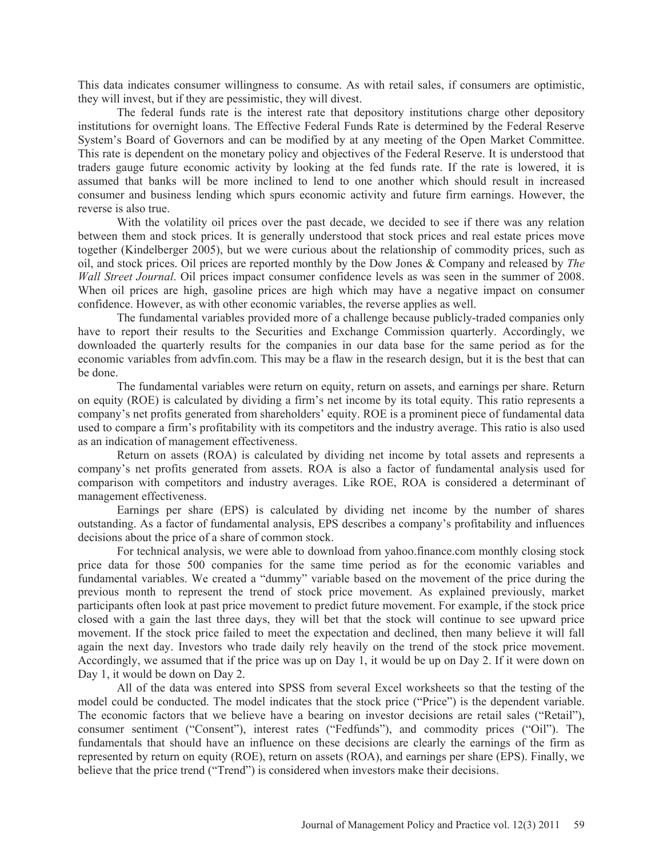This data indicates consumer willingness to consume. As with retail sales, if consumers are optimistic, they will invest, but if they are pessimistic, they will divest.

The federal funds rate is the interest rate that depository institutions charge other depository institutions for overnight loans. The Effective Federal Funds Rate is determined by the Federal Reserve System's Board of Governors and can be modified by at any meeting of the Open Market Committee. This rate is dependent on the monetary policy and objectives of the Federal Reserve. It is understood that traders gauge future economic activity by looking at the fed funds rate. If the rate is lowered, it is assumed that banks will be more inclined to lend to one another which should result in increased consumer and business lending which spurs economic activity and future firm earnings. However, the reverse is also true.

With the volatility oil prices over the past decade, we decided to see if there was any relation between them and stock prices. It is generally understood that stock prices and real estate prices move together (Kindelberger 2005), but we were curious about the relationship of commodity prices, such as oil, and stock prices. Oil prices are reported monthly by the Dow Jones & Company and released by *The Wall Street Journal*. Oil prices impact consumer confidence levels as was seen in the summer of 2008. When oil prices are high, gasoline prices are high which may have a negative impact on consumer confidence. However, as with other economic variables, the reverse applies as well.

 The fundamental variables provided more of a challenge because publicly-traded companies only have to report their results to the Securities and Exchange Commission quarterly. Accordingly, we downloaded the quarterly results for the companies in our data base for the same period as for the economic variables from advfin.com. This may be a flaw in the research design, but it is the best that can be done.

The fundamental variables were return on equity, return on assets, and earnings per share. Return on equity (ROE) is calculated by dividing a firm's net income by its total equity. This ratio represents a company's net profits generated from shareholders' equity. ROE is a prominent piece of fundamental data used to compare a firm's profitability with its competitors and the industry average. This ratio is also used as an indication of management effectiveness.

Return on assets (ROA) is calculated by dividing net income by total assets and represents a company's net profits generated from assets. ROA is also a factor of fundamental analysis used for comparison with competitors and industry averages. Like ROE, ROA is considered a determinant of management effectiveness.

Earnings per share (EPS) is calculated by dividing net income by the number of shares outstanding. As a factor of fundamental analysis, EPS describes a company's profitability and influences decisions about the price of a share of common stock.

For technical analysis, we were able to download from yahoo.finance.com monthly closing stock price data for those 500 companies for the same time period as for the economic variables and fundamental variables. We created a "dummy" variable based on the movement of the price during the previous month to represent the trend of stock price movement. As explained previously, market participants often look at past price movement to predict future movement. For example, if the stock price closed with a gain the last three days, they will bet that the stock will continue to see upward price movement. If the stock price failed to meet the expectation and declined, then many believe it will fall again the next day. Investors who trade daily rely heavily on the trend of the stock price movement. Accordingly, we assumed that if the price was up on Day 1, it would be up on Day 2. If it were down on Day 1, it would be down on Day 2.

 All of the data was entered into SPSS from several Excel worksheets so that the testing of the model could be conducted. The model indicates that the stock price ("Price") is the dependent variable. The economic factors that we believe have a bearing on investor decisions are retail sales ("Retail"), consumer sentiment ("Consent"), interest rates ("Fedfunds"), and commodity prices ("Oil"). The fundamentals that should have an influence on these decisions are clearly the earnings of the firm as represented by return on equity (ROE), return on assets (ROA), and earnings per share (EPS). Finally, we believe that the price trend ("Trend") is considered when investors make their decisions.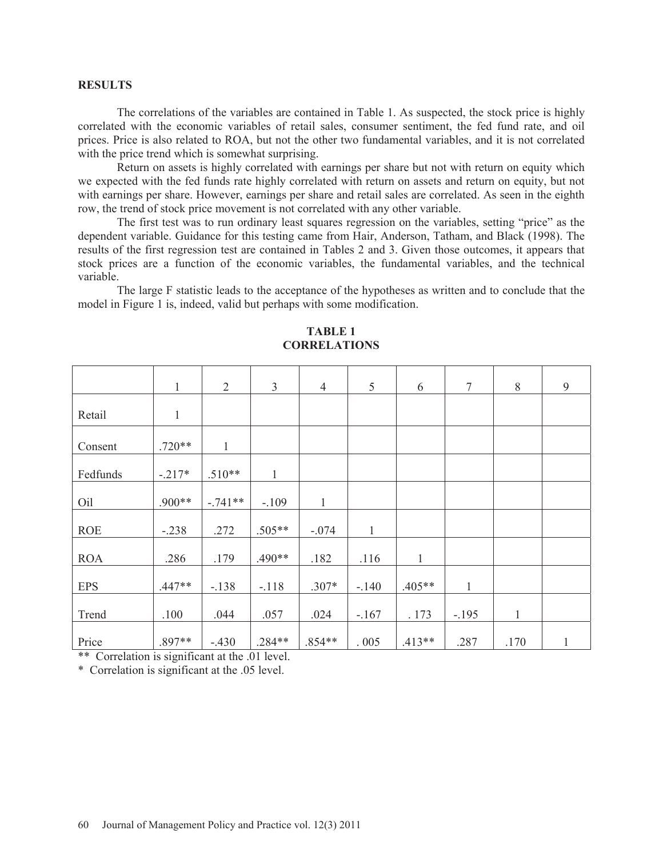#### **RESULTS**

 The correlations of the variables are contained in Table 1. As suspected, the stock price is highly correlated with the economic variables of retail sales, consumer sentiment, the fed fund rate, and oil prices. Price is also related to ROA, but not the other two fundamental variables, and it is not correlated with the price trend which is somewhat surprising.

Return on assets is highly correlated with earnings per share but not with return on equity which we expected with the fed funds rate highly correlated with return on assets and return on equity, but not with earnings per share. However, earnings per share and retail sales are correlated. As seen in the eighth row, the trend of stock price movement is not correlated with any other variable.

 The first test was to run ordinary least squares regression on the variables, setting "price" as the dependent variable. Guidance for this testing came from Hair, Anderson, Tatham, and Black (1998). The results of the first regression test are contained in Tables 2 and 3. Given those outcomes, it appears that stock prices are a function of the economic variables, the fundamental variables, and the technical variable.

The large F statistic leads to the acceptance of the hypotheses as written and to conclude that the model in Figure 1 is, indeed, valid but perhaps with some modification.

|                        | $\mathbf{1}$ | $\overline{2}$ | $\overline{3}$ | $\overline{4}$ | 5            | 6            | $\overline{7}$ | 8            | 9 |
|------------------------|--------------|----------------|----------------|----------------|--------------|--------------|----------------|--------------|---|
| Retail                 | $\mathbf{1}$ |                |                |                |              |              |                |              |   |
| Consent                | $.720**$     | $\mathbf{1}$   |                |                |              |              |                |              |   |
| Fedfunds               | $-.217*$     | $.510**$       |                |                |              |              |                |              |   |
| Oil                    | .900**       | $-.741**$      | $-.109$        | 1              |              |              |                |              |   |
| <b>ROE</b>             | $-.238$      | .272           | $.505**$       | $-.074$        | $\mathbf{1}$ |              |                |              |   |
| <b>ROA</b>             | .286         | .179           | $.490**$       | .182           | .116         | $\mathbf{1}$ |                |              |   |
| <b>EPS</b>             | $.447**$     | $-.138$        | $-.118$        | $.307*$        | $-140$       | $.405**$     | $\mathbf{1}$   |              |   |
| Trend                  | .100         | .044           | .057           | .024           | $-.167$      | . 173        | $-.195$        | $\mathbf{1}$ |   |
| Price<br>$\sim$ $\sim$ | .897**       | $-.430$        | .284**         | $.854**$       | .005         | $.413**$     | .287           | .170         | 1 |

**TABLE 1 CORRELATIONS** 

\*\* Correlation is significant at the .01 level.

\* Correlation is significant at the .05 level.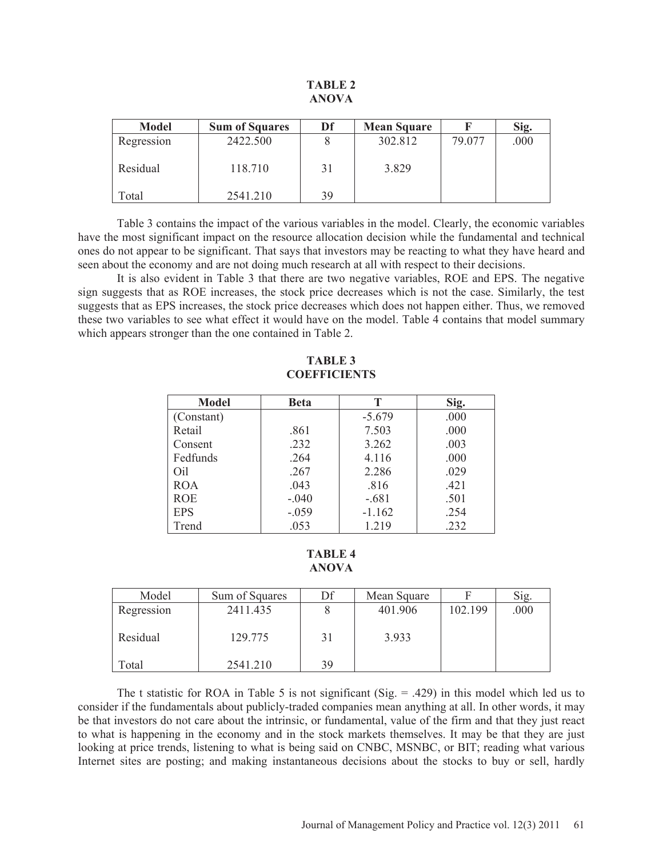#### **TABLE 2 ANOVA**

| <b>Model</b> | <b>Sum of Squares</b> | Df | <b>Mean Square</b> |        | Sig. |
|--------------|-----------------------|----|--------------------|--------|------|
| Regression   | 2422.500              |    | 302.812            | 79.077 | .000 |
| Residual     | 118.710               | 31 | 3.829              |        |      |
| Total        | 2541.210              | 39 |                    |        |      |

Table 3 contains the impact of the various variables in the model. Clearly, the economic variables have the most significant impact on the resource allocation decision while the fundamental and technical ones do not appear to be significant. That says that investors may be reacting to what they have heard and seen about the economy and are not doing much research at all with respect to their decisions.

It is also evident in Table 3 that there are two negative variables, ROE and EPS. The negative sign suggests that as ROE increases, the stock price decreases which is not the case. Similarly, the test suggests that as EPS increases, the stock price decreases which does not happen either. Thus, we removed these two variables to see what effect it would have on the model. Table 4 contains that model summary which appears stronger than the one contained in Table 2.

#### **Model Beta T Sig.**  (Constant) Retail Consent Fedfunds Oil ROA ROE EPS Trend .861 .232 .264 .267 .043 -.040 -.059 .053 -5.679 7.503 3.262 4.116 2.286 .816 -.681 -1.162 1.219 .000 .000 .003 .000 .029 .421 .501 .254 .232

## **TABLE 3 COEFFICIENTS**

#### **TABLE 4 ANOVA**

| Model      | Sum of Squares | Df | Mean Square |         | Sig. |
|------------|----------------|----|-------------|---------|------|
| Regression | 2411.435       |    | 401.906     | 102.199 | .000 |
| Residual   | 129.775        | 31 | 3.933       |         |      |
| Total      | 2541.210       | 39 |             |         |      |

The t statistic for ROA in Table 5 is not significant (Sig.  $= .429$ ) in this model which led us to consider if the fundamentals about publicly-traded companies mean anything at all. In other words, it may be that investors do not care about the intrinsic, or fundamental, value of the firm and that they just react to what is happening in the economy and in the stock markets themselves. It may be that they are just looking at price trends, listening to what is being said on CNBC, MSNBC, or BIT; reading what various Internet sites are posting; and making instantaneous decisions about the stocks to buy or sell, hardly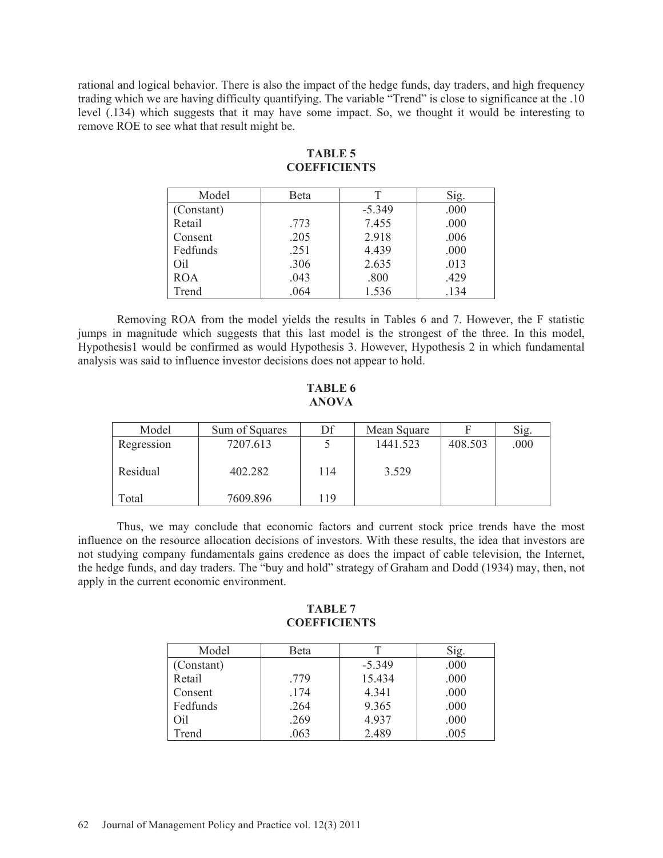rational and logical behavior. There is also the impact of the hedge funds, day traders, and high frequency trading which we are having difficulty quantifying. The variable "Trend" is close to significance at the .10 level (.134) which suggests that it may have some impact. So, we thought it would be interesting to remove ROE to see what that result might be.

| Model      | Beta |          | Sig. |
|------------|------|----------|------|
| (Constant) |      | $-5.349$ | .000 |
| Retail     | .773 | 7.455    | .000 |
| Consent    | .205 | 2.918    | .006 |
| Fedfunds   | .251 | 4.439    | .000 |
| Oil        | .306 | 2.635    | .013 |
| <b>ROA</b> | .043 | .800     | .429 |
| Trend      | .064 | 1.536    | .134 |

### **TABLE 5 COEFFICIENTS**

Removing ROA from the model yields the results in Tables 6 and 7. However, the F statistic jumps in magnitude which suggests that this last model is the strongest of the three. In this model, Hypothesis1 would be confirmed as would Hypothesis 3. However, Hypothesis 2 in which fundamental analysis was said to influence investor decisions does not appear to hold.

#### **TABLE 6 ANOVA**

| Model      | Sum of Squares | Df  | Mean Square |         | Sig. |
|------------|----------------|-----|-------------|---------|------|
| Regression | 7207.613       |     | 1441.523    | 408.503 | .000 |
| Residual   | 402.282        | 114 | 3.529       |         |      |
| Total      | 7609.896       | 119 |             |         |      |

Thus, we may conclude that economic factors and current stock price trends have the most influence on the resource allocation decisions of investors. With these results, the idea that investors are not studying company fundamentals gains credence as does the impact of cable television, the Internet, the hedge funds, and day traders. The "buy and hold" strategy of Graham and Dodd (1934) may, then, not apply in the current economic environment.

### **TABLE 7 COEFFICIENTS**

| Model      | Beta |          | Sig. |
|------------|------|----------|------|
| (Constant) |      | $-5.349$ | .000 |
| Retail     | .779 | 15.434   | .000 |
| Consent    | .174 | 4.341    | .000 |
| Fedfunds   | .264 | 9.365    | .000 |
| Oil        | .269 | 4.937    | .000 |
| Trend      | .063 | 2.489    | .005 |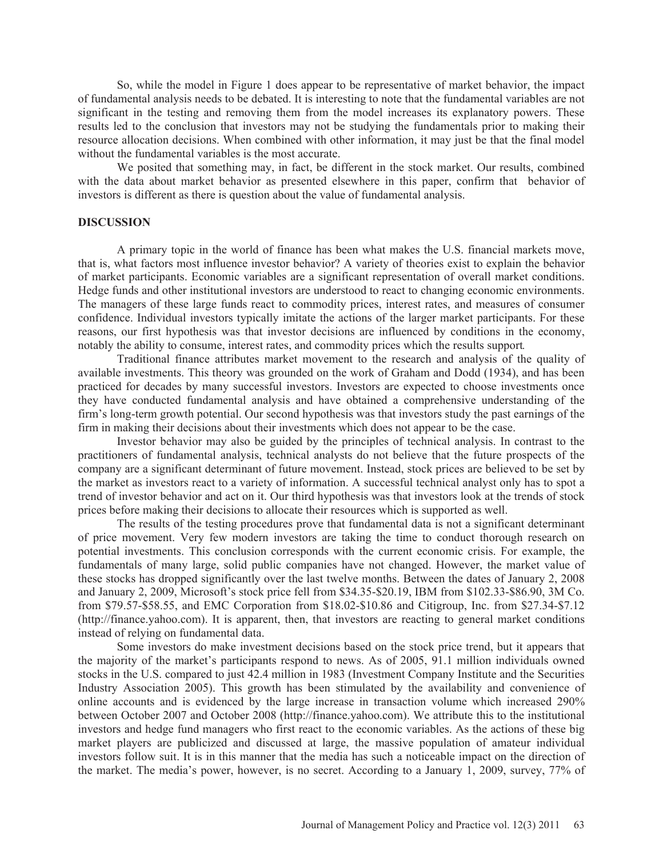So, while the model in Figure 1 does appear to be representative of market behavior, the impact of fundamental analysis needs to be debated. It is interesting to note that the fundamental variables are not significant in the testing and removing them from the model increases its explanatory powers. These results led to the conclusion that investors may not be studying the fundamentals prior to making their resource allocation decisions. When combined with other information, it may just be that the final model without the fundamental variables is the most accurate.

 We posited that something may, in fact, be different in the stock market. Our results, combined with the data about market behavior as presented elsewhere in this paper, confirm that behavior of investors is different as there is question about the value of fundamental analysis.

#### **DISCUSSION**

A primary topic in the world of finance has been what makes the U.S. financial markets move, that is, what factors most influence investor behavior? A variety of theories exist to explain the behavior of market participants. Economic variables are a significant representation of overall market conditions. Hedge funds and other institutional investors are understood to react to changing economic environments. The managers of these large funds react to commodity prices, interest rates, and measures of consumer confidence. Individual investors typically imitate the actions of the larger market participants. For these reasons, our first hypothesis was that investor decisions are influenced by conditions in the economy, notably the ability to consume, interest rates, and commodity prices which the results support*.* 

 Traditional finance attributes market movement to the research and analysis of the quality of available investments. This theory was grounded on the work of Graham and Dodd (1934), and has been practiced for decades by many successful investors. Investors are expected to choose investments once they have conducted fundamental analysis and have obtained a comprehensive understanding of the firm's long-term growth potential. Our second hypothesis was that investors study the past earnings of the firm in making their decisions about their investments which does not appear to be the case.

 Investor behavior may also be guided by the principles of technical analysis. In contrast to the practitioners of fundamental analysis, technical analysts do not believe that the future prospects of the company are a significant determinant of future movement. Instead, stock prices are believed to be set by the market as investors react to a variety of information. A successful technical analyst only has to spot a trend of investor behavior and act on it. Our third hypothesis was that investors look at the trends of stock prices before making their decisions to allocate their resources which is supported as well.

The results of the testing procedures prove that fundamental data is not a significant determinant of price movement. Very few modern investors are taking the time to conduct thorough research on potential investments. This conclusion corresponds with the current economic crisis. For example, the fundamentals of many large, solid public companies have not changed. However, the market value of these stocks has dropped significantly over the last twelve months. Between the dates of January 2, 2008 and January 2, 2009, Microsoft's stock price fell from \$34.35-\$20.19, IBM from \$102.33-\$86.90, 3M Co. from \$79.57-\$58.55, and EMC Corporation from \$18.02-\$10.86 and Citigroup, Inc. from \$27.34-\$7.12 (http://finance.yahoo.com). It is apparent, then, that investors are reacting to general market conditions instead of relying on fundamental data.

Some investors do make investment decisions based on the stock price trend, but it appears that the majority of the market's participants respond to news. As of 2005, 91.1 million individuals owned stocks in the U.S. compared to just 42.4 million in 1983 (Investment Company Institute and the Securities Industry Association 2005). This growth has been stimulated by the availability and convenience of online accounts and is evidenced by the large increase in transaction volume which increased 290% between October 2007 and October 2008 (http://finance.yahoo.com). We attribute this to the institutional investors and hedge fund managers who first react to the economic variables. As the actions of these big market players are publicized and discussed at large, the massive population of amateur individual investors follow suit. It is in this manner that the media has such a noticeable impact on the direction of the market. The media's power, however, is no secret. According to a January 1, 2009, survey, 77% of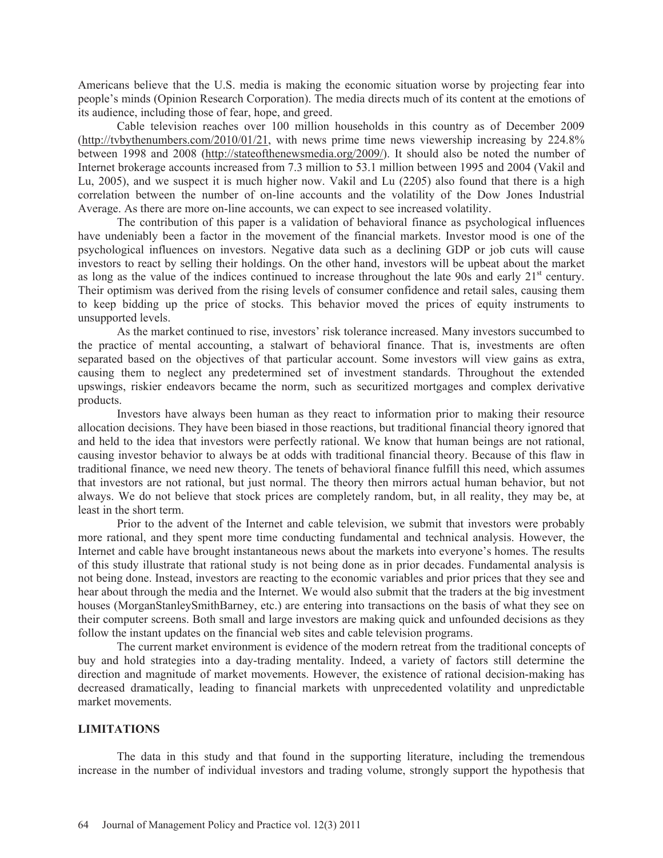Americans believe that the U.S. media is making the economic situation worse by projecting fear into people's minds (Opinion Research Corporation). The media directs much of its content at the emotions of its audience, including those of fear, hope, and greed.

Cable television reaches over 100 million households in this country as of December 2009 (http://tvbythenumbers.com/2010/01/21, with news prime time news viewership increasing by 224.8% between 1998 and 2008 (http://stateofthenewsmedia.org/2009/). It should also be noted the number of Internet brokerage accounts increased from 7.3 million to 53.1 million between 1995 and 2004 (Vakil and Lu, 2005), and we suspect it is much higher now. Vakil and Lu (2205) also found that there is a high correlation between the number of on-line accounts and the volatility of the Dow Jones Industrial Average. As there are more on-line accounts, we can expect to see increased volatility.

The contribution of this paper is a validation of behavioral finance as psychological influences have undeniably been a factor in the movement of the financial markets. Investor mood is one of the psychological influences on investors. Negative data such as a declining GDP or job cuts will cause investors to react by selling their holdings. On the other hand, investors will be upbeat about the market as long as the value of the indices continued to increase throughout the late 90s and early  $21<sup>st</sup>$  century. Their optimism was derived from the rising levels of consumer confidence and retail sales, causing them to keep bidding up the price of stocks. This behavior moved the prices of equity instruments to unsupported levels.

As the market continued to rise, investors' risk tolerance increased. Many investors succumbed to the practice of mental accounting, a stalwart of behavioral finance. That is, investments are often separated based on the objectives of that particular account. Some investors will view gains as extra, causing them to neglect any predetermined set of investment standards. Throughout the extended upswings, riskier endeavors became the norm, such as securitized mortgages and complex derivative products.

Investors have always been human as they react to information prior to making their resource allocation decisions. They have been biased in those reactions, but traditional financial theory ignored that and held to the idea that investors were perfectly rational. We know that human beings are not rational, causing investor behavior to always be at odds with traditional financial theory. Because of this flaw in traditional finance, we need new theory. The tenets of behavioral finance fulfill this need, which assumes that investors are not rational, but just normal. The theory then mirrors actual human behavior, but not always. We do not believe that stock prices are completely random, but, in all reality, they may be, at least in the short term.

Prior to the advent of the Internet and cable television, we submit that investors were probably more rational, and they spent more time conducting fundamental and technical analysis. However, the Internet and cable have brought instantaneous news about the markets into everyone's homes. The results of this study illustrate that rational study is not being done as in prior decades. Fundamental analysis is not being done. Instead, investors are reacting to the economic variables and prior prices that they see and hear about through the media and the Internet. We would also submit that the traders at the big investment houses (MorganStanleySmithBarney, etc.) are entering into transactions on the basis of what they see on their computer screens. Both small and large investors are making quick and unfounded decisions as they follow the instant updates on the financial web sites and cable television programs.

The current market environment is evidence of the modern retreat from the traditional concepts of buy and hold strategies into a day-trading mentality. Indeed, a variety of factors still determine the direction and magnitude of market movements. However, the existence of rational decision-making has decreased dramatically, leading to financial markets with unprecedented volatility and unpredictable market movements.

#### **LIMITATIONS**

 The data in this study and that found in the supporting literature, including the tremendous increase in the number of individual investors and trading volume, strongly support the hypothesis that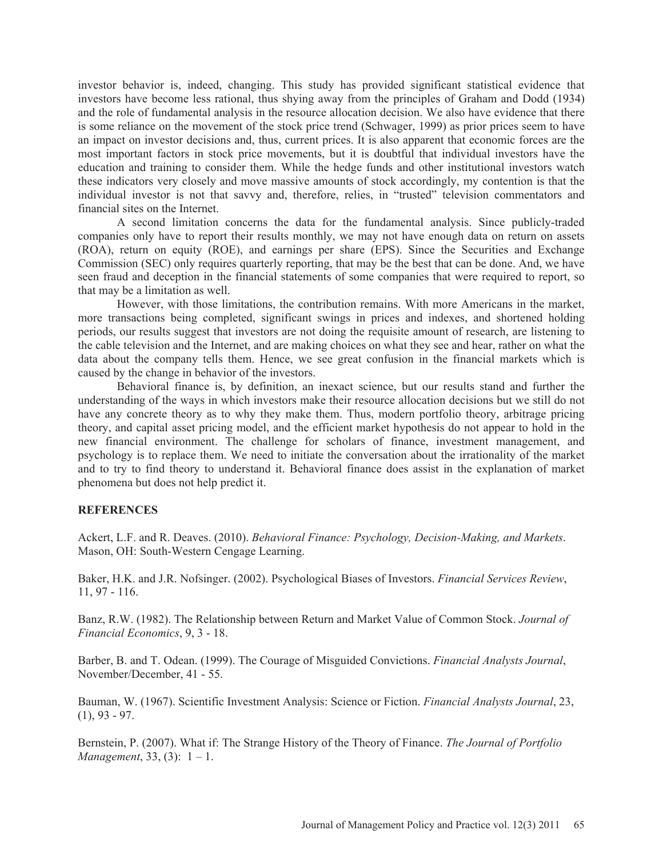investor behavior is, indeed, changing. This study has provided significant statistical evidence that investors have become less rational, thus shying away from the principles of Graham and Dodd (1934) and the role of fundamental analysis in the resource allocation decision. We also have evidence that there is some reliance on the movement of the stock price trend (Schwager, 1999) as prior prices seem to have an impact on investor decisions and, thus, current prices. It is also apparent that economic forces are the most important factors in stock price movements, but it is doubtful that individual investors have the education and training to consider them. While the hedge funds and other institutional investors watch these indicators very closely and move massive amounts of stock accordingly, my contention is that the individual investor is not that savvy and, therefore, relies, in "trusted" television commentators and financial sites on the Internet.

 A second limitation concerns the data for the fundamental analysis. Since publicly-traded companies only have to report their results monthly, we may not have enough data on return on assets (ROA), return on equity (ROE), and earnings per share (EPS). Since the Securities and Exchange Commission (SEC) only requires quarterly reporting, that may be the best that can be done. And, we have seen fraud and deception in the financial statements of some companies that were required to report, so that may be a limitation as well.

 However, with those limitations, the contribution remains. With more Americans in the market, more transactions being completed, significant swings in prices and indexes, and shortened holding periods, our results suggest that investors are not doing the requisite amount of research, are listening to the cable television and the Internet, and are making choices on what they see and hear, rather on what the data about the company tells them. Hence, we see great confusion in the financial markets which is caused by the change in behavior of the investors.

 Behavioral finance is, by definition, an inexact science, but our results stand and further the understanding of the ways in which investors make their resource allocation decisions but we still do not have any concrete theory as to why they make them. Thus, modern portfolio theory, arbitrage pricing theory, and capital asset pricing model, and the efficient market hypothesis do not appear to hold in the new financial environment. The challenge for scholars of finance, investment management, and psychology is to replace them. We need to initiate the conversation about the irrationality of the market and to try to find theory to understand it. Behavioral finance does assist in the explanation of market phenomena but does not help predict it.

#### **REFERENCES**

Ackert, L.F. and R. Deaves. (2010). *Behavioral Finance: Psychology, Decision-Making, and Markets*. Mason, OH: South-Western Cengage Learning.

Baker, H.K. and J.R. Nofsinger. (2002). Psychological Biases of Investors. *Financial Services Review*, 11, 97 - 116.

Banz, R.W. (1982). The Relationship between Return and Market Value of Common Stock. *Journal of Financial Economics*, 9, 3 - 18.

Barber, B. and T. Odean. (1999). The Courage of Misguided Convictions. *Financial Analysts Journal*, November/December, 41 - 55.

Bauman, W. (1967). Scientific Investment Analysis: Science or Fiction. *Financial Analysts Journal*, 23,  $(1), 93 - 97.$ 

Bernstein, P. (2007). What if: The Strange History of the Theory of Finance. *The Journal of Portfolio Management*, 33, (3): 1 – 1.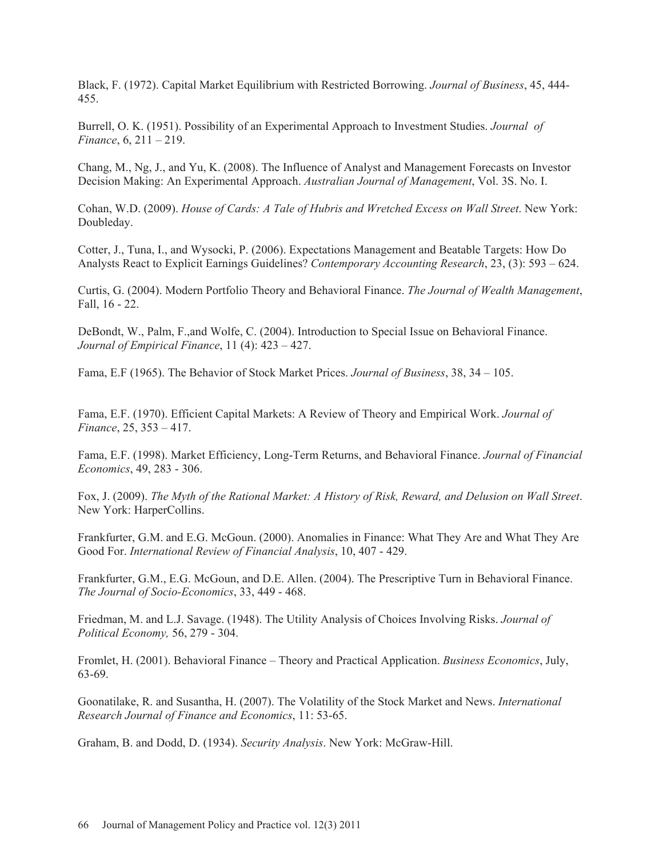Black, F. (1972). Capital Market Equilibrium with Restricted Borrowing. *Journal of Business*, 45, 444- 455.

Burrell, O. K. (1951). Possibility of an Experimental Approach to Investment Studies. *Journal of Finance*, 6, 211 – 219.

Chang, M., Ng, J., and Yu, K. (2008). The Influence of Analyst and Management Forecasts on Investor Decision Making: An Experimental Approach. *Australian Journal of Management*, Vol. 3S. No. I.

Cohan, W.D. (2009). *House of Cards: A Tale of Hubris and Wretched Excess on Wall Street*. New York: Doubleday.

Cotter, J., Tuna, I., and Wysocki, P. (2006). Expectations Management and Beatable Targets: How Do Analysts React to Explicit Earnings Guidelines? *Contemporary Accounting Research*, 23, (3): 593 – 624.

Curtis, G. (2004). Modern Portfolio Theory and Behavioral Finance. *The Journal of Wealth Management*, Fall, 16 - 22.

DeBondt, W., Palm, F.,and Wolfe, C. (2004). Introduction to Special Issue on Behavioral Finance. *Journal of Empirical Finance*, 11 (4): 423 – 427.

Fama, E.F (1965). The Behavior of Stock Market Prices. *Journal of Business*, 38, 34 – 105.

Fama, E.F. (1970). Efficient Capital Markets: A Review of Theory and Empirical Work. *Journal of Finance*, 25, 353 – 417.

Fama, E.F. (1998). Market Efficiency, Long-Term Returns, and Behavioral Finance. *Journal of Financial Economics*, 49, 283 - 306.

Fox, J. (2009). *The Myth of the Rational Market: A History of Risk, Reward, and Delusion on Wall Street*. New York: HarperCollins.

Frankfurter, G.M. and E.G. McGoun. (2000). Anomalies in Finance: What They Are and What They Are Good For. *International Review of Financial Analysis*, 10, 407 - 429.

Frankfurter, G.M., E.G. McGoun, and D.E. Allen. (2004). The Prescriptive Turn in Behavioral Finance. *The Journal of Socio-Economics*, 33, 449 - 468.

Friedman, M. and L.J. Savage. (1948). The Utility Analysis of Choices Involving Risks. *Journal of Political Economy,* 56, 279 - 304.

Fromlet, H. (2001). Behavioral Finance – Theory and Practical Application. *Business Economics*, July, 63-69.

Goonatilake, R. and Susantha, H. (2007). The Volatility of the Stock Market and News. *International Research Journal of Finance and Economics*, 11: 53-65.

Graham, B. and Dodd, D. (1934). *Security Analysis*. New York: McGraw-Hill.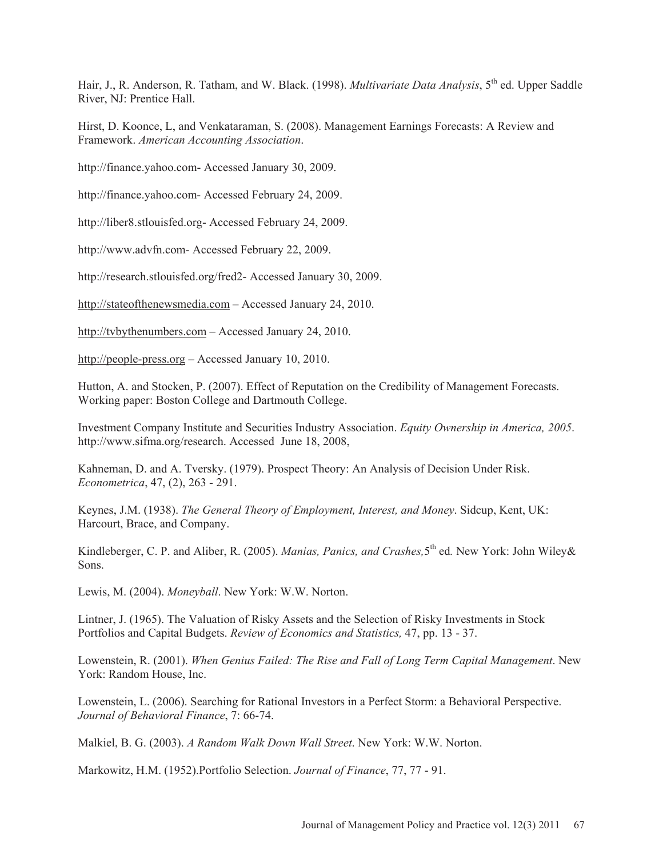Hair, J., R. Anderson, R. Tatham, and W. Black. (1998). *Multivariate Data Analysis*, 5<sup>th</sup> ed. Upper Saddle River, NJ: Prentice Hall.

Hirst, D. Koonce, L, and Venkataraman, S. (2008). Management Earnings Forecasts: A Review and Framework. *American Accounting Association*.

http://finance.yahoo.com- Accessed January 30, 2009.

http://finance.yahoo.com- Accessed February 24, 2009.

http://liber8.stlouisfed.org- Accessed February 24, 2009.

http://www.advfn.com- Accessed February 22, 2009.

http://research.stlouisfed.org/fred2- Accessed January 30, 2009.

http://stateofthenewsmedia.com – Accessed January 24, 2010.

http://tvbythenumbers.com – Accessed January 24, 2010.

http://people-press.org – Accessed January 10, 2010.

Hutton, A. and Stocken, P. (2007). Effect of Reputation on the Credibility of Management Forecasts. Working paper: Boston College and Dartmouth College.

Investment Company Institute and Securities Industry Association. *Equity Ownership in America, 2005*. http://www.sifma.org/research. Accessed June 18, 2008,

Kahneman, D. and A. Tversky. (1979). Prospect Theory: An Analysis of Decision Under Risk. *Econometrica*, 47, (2), 263 - 291.

Keynes, J.M. (1938). *The General Theory of Employment, Interest, and Money*. Sidcup, Kent, UK: Harcourt, Brace, and Company.

Kindleberger, C. P. and Aliber, R. (2005). *Manias, Panics, and Crashes,*5th ed*.* New York: John Wiley& Sons.

Lewis, M. (2004). *Moneyball*. New York: W.W. Norton.

Lintner, J. (1965). The Valuation of Risky Assets and the Selection of Risky Investments in Stock Portfolios and Capital Budgets. *Review of Economics and Statistics,* 47, pp. 13 - 37.

Lowenstein, R. (2001). *When Genius Failed: The Rise and Fall of Long Term Capital Management*. New York: Random House, Inc.

Lowenstein, L. (2006). Searching for Rational Investors in a Perfect Storm: a Behavioral Perspective. *Journal of Behavioral Finance*, 7: 66-74.

Malkiel, B. G. (2003). *A Random Walk Down Wall Street*. New York: W.W. Norton.

Markowitz, H.M. (1952).Portfolio Selection. *Journal of Finance*, 77, 77 - 91.